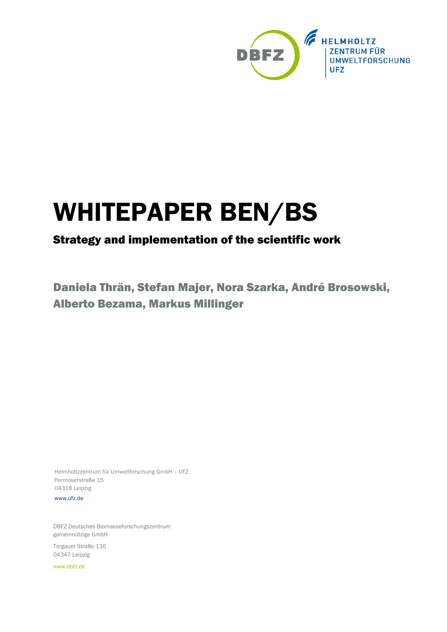

# WHITEPAPER BEN/BS

# Strategy and implementation of the scientific work

Daniela Thrän, Stefan Majer, Nora Szarka, André Brosowski, Alberto Bezama, Markus Millinger

Helmholtzzentrum für Umweltforschung GmbH – UFZ Permoserstraße 15 04318 Leipzig

[www.ufz.de](http://www.ufz.de/)

DBFZ Deutsches Biomasseforschungszentrum gemeinnützige GmbH

Torgauer Straße 116 04347 Leipzig

[www.dbfz.de](http://www.dbfz.de/)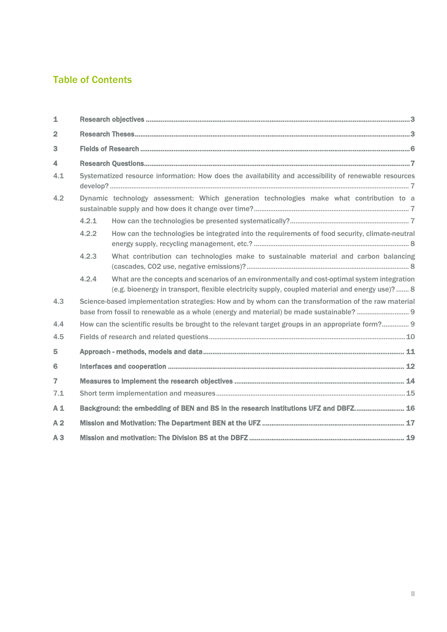# Table of Contents

| $\mathbf{1}$            |                                                                                                                                                                                            |                                                                                                                                                                                                  |  |  |  |  |  |
|-------------------------|--------------------------------------------------------------------------------------------------------------------------------------------------------------------------------------------|--------------------------------------------------------------------------------------------------------------------------------------------------------------------------------------------------|--|--|--|--|--|
| $\overline{2}$          |                                                                                                                                                                                            |                                                                                                                                                                                                  |  |  |  |  |  |
| 3                       |                                                                                                                                                                                            |                                                                                                                                                                                                  |  |  |  |  |  |
| $\overline{\mathbf{4}}$ |                                                                                                                                                                                            |                                                                                                                                                                                                  |  |  |  |  |  |
| 4.1                     | Systematized resource information: How does the availability and accessibility of renewable resources                                                                                      |                                                                                                                                                                                                  |  |  |  |  |  |
| 4.2                     | Dynamic technology assessment: Which generation technologies make what contribution to a                                                                                                   |                                                                                                                                                                                                  |  |  |  |  |  |
|                         | 4.2.1                                                                                                                                                                                      |                                                                                                                                                                                                  |  |  |  |  |  |
|                         | 4.2.2                                                                                                                                                                                      | How can the technologies be integrated into the requirements of food security, climate-neutral                                                                                                   |  |  |  |  |  |
|                         | 4.2.3                                                                                                                                                                                      | What contribution can technologies make to sustainable material and carbon balancing                                                                                                             |  |  |  |  |  |
|                         | 4.2.4                                                                                                                                                                                      | What are the concepts and scenarios of an environmentally and cost-optimal system integration<br>(e.g. bioenergy in transport, flexible electricity supply, coupled material and energy use)?  8 |  |  |  |  |  |
| 4.3                     | Science-based implementation strategies: How and by whom can the transformation of the raw material<br>base from fossil to renewable as a whole (energy and material) be made sustainable? |                                                                                                                                                                                                  |  |  |  |  |  |
| 4.4                     | How can the scientific results be brought to the relevant target groups in an appropriate form? 9                                                                                          |                                                                                                                                                                                                  |  |  |  |  |  |
| 4.5                     |                                                                                                                                                                                            |                                                                                                                                                                                                  |  |  |  |  |  |
| 5                       |                                                                                                                                                                                            |                                                                                                                                                                                                  |  |  |  |  |  |
| 6                       |                                                                                                                                                                                            |                                                                                                                                                                                                  |  |  |  |  |  |
| $\overline{7}$          |                                                                                                                                                                                            |                                                                                                                                                                                                  |  |  |  |  |  |
| 7.1                     |                                                                                                                                                                                            |                                                                                                                                                                                                  |  |  |  |  |  |
| A <sub>1</sub>          | Background: the embedding of BEN and BS in the research institutions UFZ and DBFZ 16                                                                                                       |                                                                                                                                                                                                  |  |  |  |  |  |
| A <sub>2</sub>          |                                                                                                                                                                                            |                                                                                                                                                                                                  |  |  |  |  |  |
| A3                      |                                                                                                                                                                                            |                                                                                                                                                                                                  |  |  |  |  |  |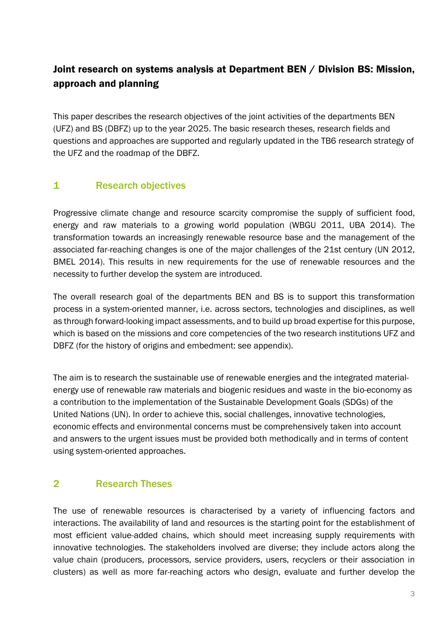# Joint research on systems analysis at Department BEN / Division BS: Mission, approach and planning

This paper describes the research objectives of the joint activities of the departments BEN (UFZ) and BS (DBFZ) up to the year 2025. The basic research theses, research fields and questions and approaches are supported and regularly updated in the TB6 research strategy of the UFZ and the roadmap of the DBFZ.

#### 1 Research objectives

Progressive climate change and resource scarcity compromise the supply of sufficient food, energy and raw materials to a growing world population (WBGU 2011, UBA 2014). The transformation towards an increasingly renewable resource base and the management of the associated far-reaching changes is one of the major challenges of the 21st century (UN 2012, BMEL 2014). This results in new requirements for the use of renewable resources and the necessity to further develop the system are introduced.

The overall research goal of the departments BEN and BS is to support this transformation process in a system-oriented manner, i.e. across sectors, technologies and disciplines, as well as through forward-looking impact assessments, and to build up broad expertise for this purpose, which is based on the missions and core competencies of the two research institutions UFZ and DBFZ (for the history of origins and embedment: see appendix).

The aim is to research the sustainable use of renewable energies and the integrated materialenergy use of renewable raw materials and biogenic residues and waste in the bio-economy as a contribution to the implementation of the Sustainable Development Goals (SDGs) of the United Nations (UN). In order to achieve this, social challenges, innovative technologies, economic effects and environmental concerns must be comprehensively taken into account and answers to the urgent issues must be provided both methodically and in terms of content using system-oriented approaches.

# 2 Research Theses

The use of renewable resources is characterised by a variety of influencing factors and interactions. The availability of land and resources is the starting point for the establishment of most efficient value-added chains, which should meet increasing supply requirements with innovative technologies. The stakeholders involved are diverse; they include actors along the value chain (producers, processors, service providers, users, recyclers or their association in clusters) as well as more far-reaching actors who design, evaluate and further develop the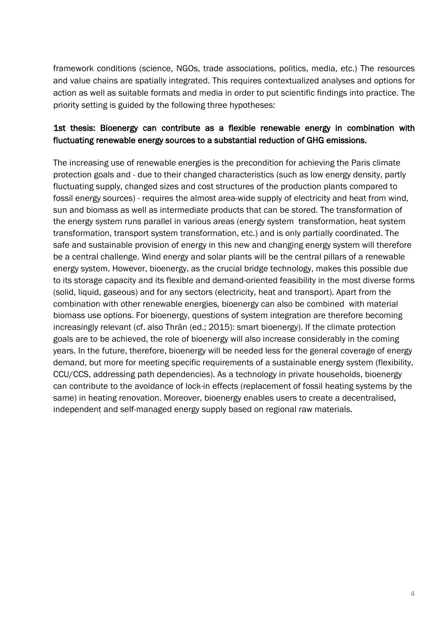framework conditions (science, NGOs, trade associations, politics, media, etc.) The resources and value chains are spatially integrated. This requires contextualized analyses and options for action as well as suitable formats and media in order to put scientific findings into practice. The priority setting is guided by the following three hypotheses:

#### 1st thesis: Bioenergy can contribute as a flexible renewable energy in combination with fluctuating renewable energy sources to a substantial reduction of GHG emissions.

The increasing use of renewable energies is the precondition for achieving the Paris climate protection goals and - due to their changed characteristics (such as low energy density, partly fluctuating supply, changed sizes and cost structures of the production plants compared to fossil energy sources) - requires the almost area-wide supply of electricity and heat from wind, sun and biomass as well as intermediate products that can be stored. The transformation of the energy system runs parallel in various areas (energy system transformation, heat system transformation, transport system transformation, etc.) and is only partially coordinated. The safe and sustainable provision of energy in this new and changing energy system will therefore be a central challenge. Wind energy and solar plants will be the central pillars of a renewable energy system. However, bioenergy, as the crucial bridge technology, makes this possible due to its storage capacity and its flexible and demand-oriented feasibility in the most diverse forms (solid, liquid, gaseous) and for any sectors (electricity, heat and transport). Apart from the combination with other renewable energies, bioenergy can also be combined with material biomass use options. For bioenergy, questions of system integration are therefore becoming increasingly relevant (cf. also Thrän (ed.; 2015): smart bioenergy). If the climate protection goals are to be achieved, the role of bioenergy will also increase considerably in the coming years. In the future, therefore, bioenergy will be needed less for the general coverage of energy demand, but more for meeting specific requirements of a sustainable energy system (flexibility, CCU/CCS, addressing path dependencies). As a technology in private households, bioenergy can contribute to the avoidance of lock-in effects (replacement of fossil heating systems by the same) in heating renovation. Moreover, bioenergy enables users to create a decentralised, independent and self-managed energy supply based on regional raw materials.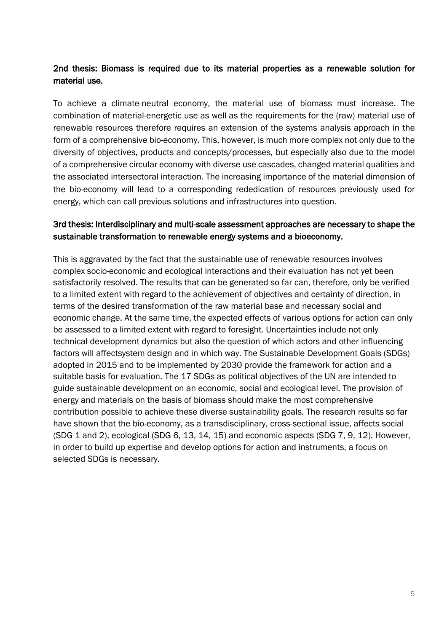#### 2nd thesis: Biomass is required due to its material properties as a renewable solution for material use.

To achieve a climate-neutral economy, the material use of biomass must increase. The combination of material-energetic use as well as the requirements for the (raw) material use of renewable resources therefore requires an extension of the systems analysis approach in the form of a comprehensive bio-economy. This, however, is much more complex not only due to the diversity of objectives, products and concepts/processes, but especially also due to the model of a comprehensive circular economy with diverse use cascades, changed material qualities and the associated intersectoral interaction. The increasing importance of the material dimension of the bio-economy will lead to a corresponding rededication of resources previously used for energy, which can call previous solutions and infrastructures into question.

#### 3rd thesis: Interdisciplinary and multi-scale assessment approaches are necessary to shape the sustainable transformation to renewable energy systems and a bioeconomy.

This is aggravated by the fact that the sustainable use of renewable resources involves complex socio-economic and ecological interactions and their evaluation has not yet been satisfactorily resolved. The results that can be generated so far can, therefore, only be verified to a limited extent with regard to the achievement of objectives and certainty of direction, in terms of the desired transformation of the raw material base and necessary social and economic change. At the same time, the expected effects of various options for action can only be assessed to a limited extent with regard to foresight. Uncertainties include not only technical development dynamics but also the question of which actors and other influencing factors will affectsystem design and in which way. The Sustainable Development Goals (SDGs) adopted in 2015 and to be implemented by 2030 provide the framework for action and a suitable basis for evaluation. The 17 SDGs as political objectives of the UN are intended to guide sustainable development on an economic, social and ecological level. The provision of energy and materials on the basis of biomass should make the most comprehensive contribution possible to achieve these diverse sustainability goals. The research results so far have shown that the bio-economy, as a transdisciplinary, cross-sectional issue, affects social (SDG 1 and 2), ecological (SDG 6, 13, 14, 15) and economic aspects (SDG 7, 9, 12). However, in order to build up expertise and develop options for action and instruments, a focus on selected SDGs is necessary.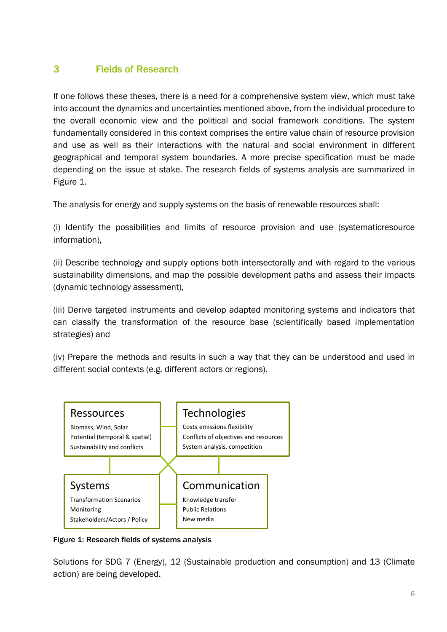# 3 Fields of Research

If one follows these theses, there is a need for a comprehensive system view, which must take into account the dynamics and uncertainties mentioned above, from the individual procedure to the overall economic view and the political and social framework conditions. The system fundamentally considered in this context comprises the entire value chain of resource provision and use as well as their interactions with the natural and social environment in different geographical and temporal system boundaries. A more precise specification must be made depending on the issue at stake. The research fields of systems analysis are summarized in Figure 1.

The analysis for energy and supply systems on the basis of renewable resources shall:

(i) Identify the possibilities and limits of resource provision and use (systematicresource information),

(ii) Describe technology and supply options both intersectorally and with regard to the various sustainability dimensions, and map the possible development paths and assess their impacts (dynamic technology assessment),

(iii) Derive targeted instruments and develop adapted monitoring systems and indicators that can classify the transformation of the resource base (scientifically based implementation strategies) and

(iv) Prepare the methods and results in such a way that they can be understood and used in different social contexts (e.g. different actors or regions).



Figure 1: Research fields of systems analysis

Solutions for SDG 7 (Energy), 12 (Sustainable production and consumption) and 13 (Climate action) are being developed.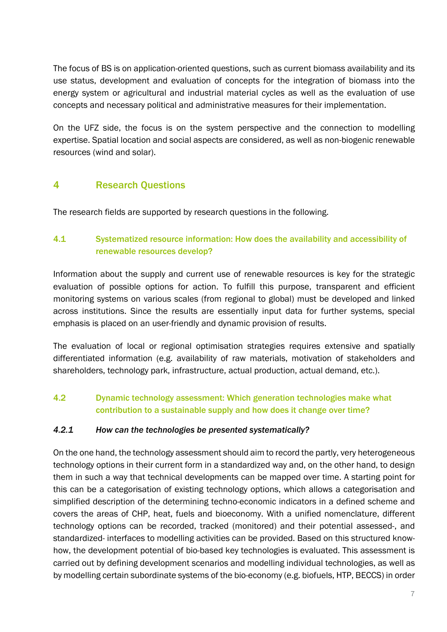The focus of BS is on application-oriented questions, such as current biomass availability and its use status, development and evaluation of concepts for the integration of biomass into the energy system or agricultural and industrial material cycles as well as the evaluation of use concepts and necessary political and administrative measures for their implementation.

On the UFZ side, the focus is on the system perspective and the connection to modelling expertise. Spatial location and social aspects are considered, as well as non-biogenic renewable resources (wind and solar).

#### 4 Research Questions

The research fields are supported by research questions in the following.

#### 4.1 Systematized resource information: How does the availability and accessibility of renewable resources develop?

Information about the supply and current use of renewable resources is key for the strategic evaluation of possible options for action. To fulfill this purpose, transparent and efficient monitoring systems on various scales (from regional to global) must be developed and linked across institutions. Since the results are essentially input data for further systems, special emphasis is placed on an user-friendly and dynamic provision of results.

The evaluation of local or regional optimisation strategies requires extensive and spatially differentiated information (e.g. availability of raw materials, motivation of stakeholders and shareholders, technology park, infrastructure, actual production, actual demand, etc.).

#### 4.2 Dynamic technology assessment: Which generation technologies make what contribution to a sustainable supply and how does it change over time?

#### *4.2.1 How can the technologies be presented systematically?*

On the one hand, the technology assessment should aim to record the partly, very heterogeneous technology options in their current form in a standardized way and, on the other hand, to design them in such a way that technical developments can be mapped over time. A starting point for this can be a categorisation of existing technology options, which allows a categorisation and simplified description of the determining techno-economic indicators in a defined scheme and covers the areas of CHP, heat, fuels and bioeconomy. With a unified nomenclature, different technology options can be recorded, tracked (monitored) and their potential assessed-, and standardized- interfaces to modelling activities can be provided. Based on this structured knowhow, the development potential of bio-based key technologies is evaluated. This assessment is carried out by defining development scenarios and modelling individual technologies, as well as by modelling certain subordinate systems of the bio-economy (e.g. biofuels, HTP, BECCS) in order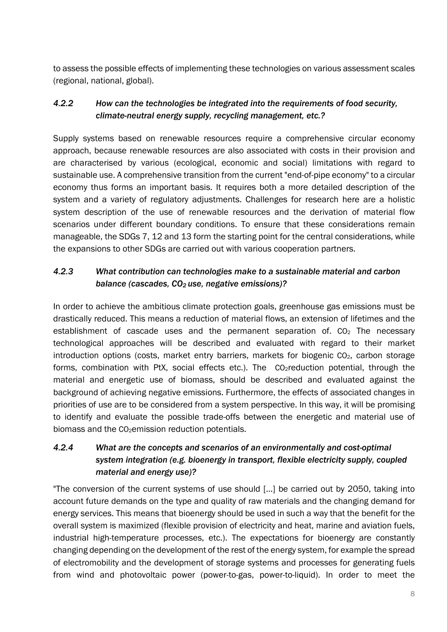to assess the possible effects of implementing these technologies on various assessment scales (regional, national, global).

#### *4.2.2 How can the technologies be integrated into the requirements of food security, climate-neutral energy supply, recycling management, etc.?*

Supply systems based on renewable resources require a comprehensive circular economy approach, because renewable resources are also associated with costs in their provision and are characterised by various (ecological, economic and social) limitations with regard to sustainable use. A comprehensive transition from the current "end-of-pipe economy" to a circular economy thus forms an important basis. It requires both a more detailed description of the system and a variety of regulatory adjustments. Challenges for research here are a holistic system description of the use of renewable resources and the derivation of material flow scenarios under different boundary conditions. To ensure that these considerations remain manageable, the SDGs 7, 12 and 13 form the starting point for the central considerations, while the expansions to other SDGs are carried out with various cooperation partners.

#### *4.2.3 What contribution can technologies make to a sustainable material and carbon balance (cascades, CO<sub>2</sub> use, negative emissions)?*

In order to achieve the ambitious climate protection goals, greenhouse gas emissions must be drastically reduced. This means a reduction of material flows, an extension of lifetimes and the establishment of cascade uses and the permanent separation of.  $CO<sub>2</sub>$  The necessary technological approaches will be described and evaluated with regard to their market introduction options (costs, market entry barriers, markets for biogenic  $CO<sub>2</sub>$ , carbon storage forms, combination with PtX, social effects etc.). The  $CO<sub>2</sub>$ reduction potential, through the material and energetic use of biomass, should be described and evaluated against the background of achieving negative emissions. Furthermore, the effects of associated changes in priorities of use are to be considered from a system perspective. In this way, it will be promising to identify and evaluate the possible trade-offs between the energetic and material use of biomass and the  $CO<sub>2</sub>$ emission reduction potentials.

#### *4.2.4 What are the concepts and scenarios of an environmentally and cost-optimal system integration (e.g. bioenergy in transport, flexible electricity supply, coupled material and energy use)?*

"The conversion of the current systems of use should [...] be carried out by 2050, taking into account future demands on the type and quality of raw materials and the changing demand for energy services. This means that bioenergy should be used in such a way that the benefit for the overall system is maximized (flexible provision of electricity and heat, marine and aviation fuels, industrial high-temperature processes, etc.). The expectations for bioenergy are constantly changing depending on the development of the rest of the energy system, for example the spread of electromobility and the development of storage systems and processes for generating fuels from wind and photovoltaic power (power-to-gas, power-to-liquid). In order to meet the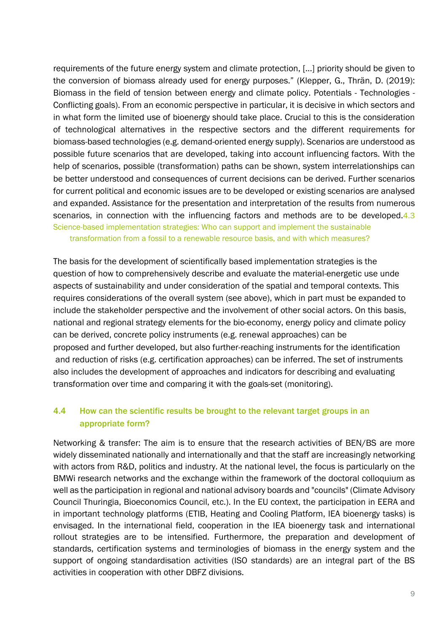requirements of the future energy system and climate protection, [...] priority should be given to the conversion of biomass already used for energy purposes." (Klepper, G., Thrän, D. (2019): Biomass in the field of tension between energy and climate policy. Potentials - Technologies - Conflicting goals). From an economic perspective in particular, it is decisive in which sectors and in what form the limited use of bioenergy should take place. Crucial to this is the consideration of technological alternatives in the respective sectors and the different requirements for biomass-based technologies (e.g. demand-oriented energy supply). Scenarios are understood as possible future scenarios that are developed, taking into account influencing factors. With the help of scenarios, possible (transformation) paths can be shown, system interrelationships can be better understood and consequences of current decisions can be derived. Further scenarios for current political and economic issues are to be developed or existing scenarios are analysed and expanded. Assistance for the presentation and interpretation of the results from numerous scenarios, in connection with the influencing factors and methods are to be developed 4.3 Science-based implementation strategies: Who can support and implement the sustainable transformation from a fossil to a renewable resource basis, and with which measures?

The basis for the development of scientifically based implementation strategies is the question of how to comprehensively describe and evaluate the material-energetic use unde aspects of sustainability and under consideration of the spatial and temporal contexts. This requires considerations of the overall system (see above), which in part must be expanded to include the stakeholder perspective and the involvement of other social actors. On this basis, national and regional strategy elements for the bio-economy, energy policy and climate policy can be derived, concrete policy instruments (e.g. renewal approaches) can be proposed and further developed, but also further-reaching instruments for the identification and reduction of risks (e.g. certification approaches) can be inferred. The set of instruments also includes the development of approaches and indicators for describing and evaluating transformation over time and comparing it with the goals-set (monitoring).

#### 4.4 How can the scientific results be brought to the relevant target groups in an appropriate form?

Networking & transfer: The aim is to ensure that the research activities of BEN/BS are more widely disseminated nationally and internationally and that the staff are increasingly networking with actors from R&D, politics and industry. At the national level, the focus is particularly on the BMWi research networks and the exchange within the framework of the doctoral colloquium as well as the participation in regional and national advisory boards and "councils" (Climate Advisory Council Thuringia, Bioeconomics Council, etc.). In the EU context, the participation in EERA and in important technology platforms (ETIB, Heating and Cooling Platform, IEA bioenergy tasks) is envisaged. In the international field, cooperation in the IEA bioenergy task and international rollout strategies are to be intensified. Furthermore, the preparation and development of standards, certification systems and terminologies of biomass in the energy system and the support of ongoing standardisation activities (ISO standards) are an integral part of the BS activities in cooperation with other DBFZ divisions.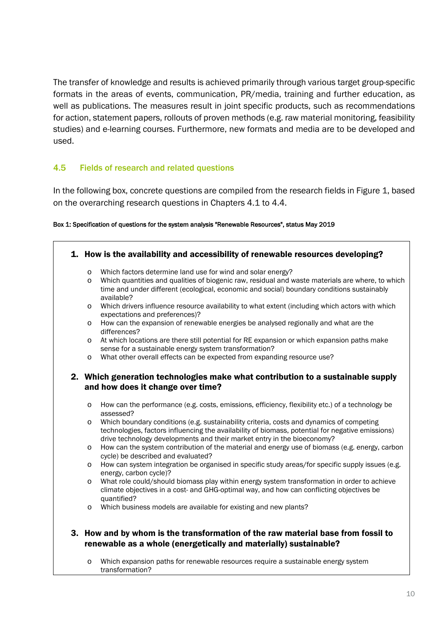The transfer of knowledge and results is achieved primarily through various target group-specific formats in the areas of events, communication, PR/media, training and further education, as well as publications. The measures result in joint specific products, such as recommendations for action, statement papers, rollouts of proven methods (e.g. raw material monitoring, feasibility studies) and e-learning courses. Furthermore, new formats and media are to be developed and used.

#### 4.5 Fields of research and related questions

In the following box, concrete questions are compiled from the research fields in Figure 1, based on the overarching research questions in Chapters 4.1 to 4.4.

#### Box 1: Specification of questions for the system analysis "Renewable Resources", status May 2019

| $\circ$<br>$\circ$ | Which factors determine land use for wind and solar energy?<br>Which quantities and qualities of biogenic raw, residual and waste materials are where, to which                                                                                                                                                                                                    |
|--------------------|--------------------------------------------------------------------------------------------------------------------------------------------------------------------------------------------------------------------------------------------------------------------------------------------------------------------------------------------------------------------|
|                    | time and under different (ecological, economic and social) boundary conditions sustainably<br>available?                                                                                                                                                                                                                                                           |
| $\circ$            | Which drivers influence resource availability to what extent (including which actors with which<br>expectations and preferences)?                                                                                                                                                                                                                                  |
| $\circ$            | How can the expansion of renewable energies be analysed regionally and what are the<br>differences?                                                                                                                                                                                                                                                                |
| $\circ$            | At which locations are there still potential for RE expansion or which expansion paths make<br>sense for a sustainable energy system transformation?                                                                                                                                                                                                               |
| $\circ$            | What other overall effects can be expected from expanding resource use?                                                                                                                                                                                                                                                                                            |
| $\circ$            | and how does it change over time?                                                                                                                                                                                                                                                                                                                                  |
|                    |                                                                                                                                                                                                                                                                                                                                                                    |
| $\circ$            | assessed?<br>Which boundary conditions (e.g. sustainability criteria, costs and dynamics of competing                                                                                                                                                                                                                                                              |
|                    | 2. Which generation technologies make what contribution to a sustainable supply<br>How can the performance (e.g. costs, emissions, efficiency, flexibility etc.) of a technology be<br>technologies, factors influencing the availability of biomass, potential for negative emissions)<br>drive technology developments and their market entry in the bioeconomy? |
| $\circ$            | How can the system contribution of the material and energy use of biomass (e.g. energy, carbon<br>cycle) be described and evaluated?                                                                                                                                                                                                                               |
| $\circ$            | How can system integration be organised in specific study areas/for specific supply issues (e.g.<br>energy, carbon cycle)?                                                                                                                                                                                                                                         |
| $\circ$            | What role could/should biomass play within energy system transformation in order to achieve<br>climate objectives in a cost- and GHG-optimal way, and how can conflicting objectives be<br>quantified?                                                                                                                                                             |

o Which expansion paths for renewable resources require a sustainable energy system transformation?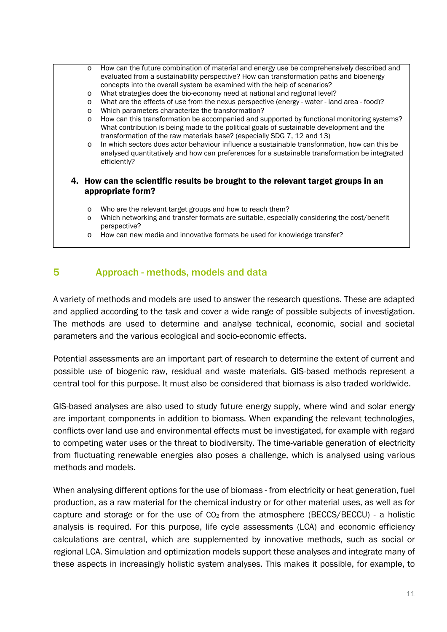- o How can the future combination of material and energy use be comprehensively described and evaluated from a sustainability perspective? How can transformation paths and bioenergy concepts into the overall system be examined with the help of scenarios?
- o What strategies does the bio-economy need at national and regional level?
- o What are the effects of use from the nexus perspective (energy water land area food)?
- o Which parameters characterize the transformation?
- o How can this transformation be accompanied and supported by functional monitoring systems? What contribution is being made to the political goals of sustainable development and the transformation of the raw materials base? (especially SDG 7, 12 and 13)
- o In which sectors does actor behaviour influence a sustainable transformation, how can this be analysed quantitatively and how can preferences for a sustainable transformation be integrated efficiently?

#### 4. How can the scientific results be brought to the relevant target groups in an appropriate form?

- o Who are the relevant target groups and how to reach them?
- o Which networking and transfer formats are suitable, especially considering the cost/benefit perspective?
- o How can new media and innovative formats be used for knowledge transfer?

#### 5 Approach - methods, models and data

A variety of methods and models are used to answer the research questions. These are adapted and applied according to the task and cover a wide range of possible subjects of investigation. The methods are used to determine and analyse technical, economic, social and societal parameters and the various ecological and socio-economic effects.

Potential assessments are an important part of research to determine the extent of current and possible use of biogenic raw, residual and waste materials. GIS-based methods represent a central tool for this purpose. It must also be considered that biomass is also traded worldwide.

GIS-based analyses are also used to study future energy supply, where wind and solar energy are important components in addition to biomass. When expanding the relevant technologies, conflicts over land use and environmental effects must be investigated, for example with regard to competing water uses or the threat to biodiversity. The time-variable generation of electricity from fluctuating renewable energies also poses a challenge, which is analysed using various methods and models.

When analysing different options for the use of biomass - from electricity or heat generation, fuel production, as a raw material for the chemical industry or for other material uses, as well as for capture and storage or for the use of  $CO<sub>2</sub>$  from the atmosphere (BECCS/BECCU) - a holistic analysis is required. For this purpose, life cycle assessments (LCA) and economic efficiency calculations are central, which are supplemented by innovative methods, such as social or regional LCA. Simulation and optimization models support these analyses and integrate many of these aspects in increasingly holistic system analyses. This makes it possible, for example, to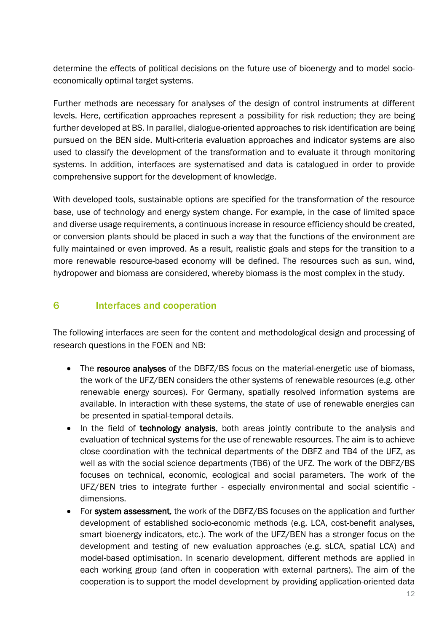determine the effects of political decisions on the future use of bioenergy and to model socioeconomically optimal target systems.

Further methods are necessary for analyses of the design of control instruments at different levels. Here, certification approaches represent a possibility for risk reduction; they are being further developed at BS. In parallel, dialogue-oriented approaches to risk identification are being pursued on the BEN side. Multi-criteria evaluation approaches and indicator systems are also used to classify the development of the transformation and to evaluate it through monitoring systems. In addition, interfaces are systematised and data is catalogued in order to provide comprehensive support for the development of knowledge.

With developed tools, sustainable options are specified for the transformation of the resource base, use of technology and energy system change. For example, in the case of limited space and diverse usage requirements, a continuous increase in resource efficiency should be created, or conversion plants should be placed in such a way that the functions of the environment are fully maintained or even improved. As a result, realistic goals and steps for the transition to a more renewable resource-based economy will be defined. The resources such as sun, wind, hydropower and biomass are considered, whereby biomass is the most complex in the study.

#### 6 Interfaces and cooperation

The following interfaces are seen for the content and methodological design and processing of research questions in the FOEN and NB:

- The resource analyses of the DBFZ/BS focus on the material-energetic use of biomass, the work of the UFZ/BEN considers the other systems of renewable resources (e.g. other renewable energy sources). For Germany, spatially resolved information systems are available. In interaction with these systems, the state of use of renewable energies can be presented in spatial-temporal details.
- In the field of technology analysis, both areas jointly contribute to the analysis and evaluation of technical systems for the use of renewable resources. The aim is to achieve close coordination with the technical departments of the DBFZ and TB4 of the UFZ, as well as with the social science departments (TB6) of the UFZ. The work of the DBFZ/BS focuses on technical, economic, ecological and social parameters. The work of the UFZ/BEN tries to integrate further - especially environmental and social scientific dimensions.
- For system assessment, the work of the DBFZ/BS focuses on the application and further development of established socio-economic methods (e.g. LCA, cost-benefit analyses, smart bioenergy indicators, etc.). The work of the UFZ/BEN has a stronger focus on the development and testing of new evaluation approaches (e.g. sLCA, spatial LCA) and model-based optimisation. In scenario development, different methods are applied in each working group (and often in cooperation with external partners). The aim of the cooperation is to support the model development by providing application-oriented data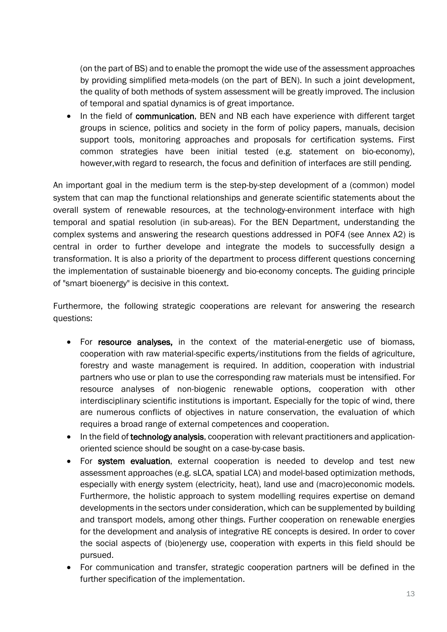(on the part of BS) and to enable the promopt the wide use of the assessment approaches by providing simplified meta-models (on the part of BEN). In such a joint development, the quality of both methods of system assessment will be greatly improved. The inclusion of temporal and spatial dynamics is of great importance.

• In the field of communication, BEN and NB each have experience with different target groups in science, politics and society in the form of policy papers, manuals, decision support tools, monitoring approaches and proposals for certification systems. First common strategies have been initial tested (e.g. statement on bio-economy), however,with regard to research, the focus and definition of interfaces are still pending.

An important goal in the medium term is the step-by-step development of a (common) model system that can map the functional relationships and generate scientific statements about the overall system of renewable resources, at the technology-environment interface with high temporal and spatial resolution (in sub-areas). For the BEN Department, understanding the complex systems and answering the research questions addressed in POF4 (see Annex A2) is central in order to further develope and integrate the models to successfully design a transformation. It is also a priority of the department to process different questions concerning the implementation of sustainable bioenergy and bio-economy concepts. The guiding principle of "smart bioenergy" is decisive in this context.

Furthermore, the following strategic cooperations are relevant for answering the research questions:

- For resource analyses, in the context of the material-energetic use of biomass, cooperation with raw material-specific experts/institutions from the fields of agriculture, forestry and waste management is required. In addition, cooperation with industrial partners who use or plan to use the corresponding raw materials must be intensified. For resource analyses of non-biogenic renewable options, cooperation with other interdisciplinary scientific institutions is important. Especially for the topic of wind, there are numerous conflicts of objectives in nature conservation, the evaluation of which requires a broad range of external competences and cooperation.
- In the field of technology analysis, cooperation with relevant practitioners and applicationoriented science should be sought on a case-by-case basis.
- For system evaluation, external cooperation is needed to develop and test new assessment approaches (e.g. sLCA, spatial LCA) and model-based optimization methods, especially with energy system (electricity, heat), land use and (macro)economic models. Furthermore, the holistic approach to system modelling requires expertise on demand developments in the sectors under consideration, which can be supplemented by building and transport models, among other things. Further cooperation on renewable energies for the development and analysis of integrative RE concepts is desired. In order to cover the social aspects of (bio)energy use, cooperation with experts in this field should be pursued.
- For communication and transfer, strategic cooperation partners will be defined in the further specification of the implementation.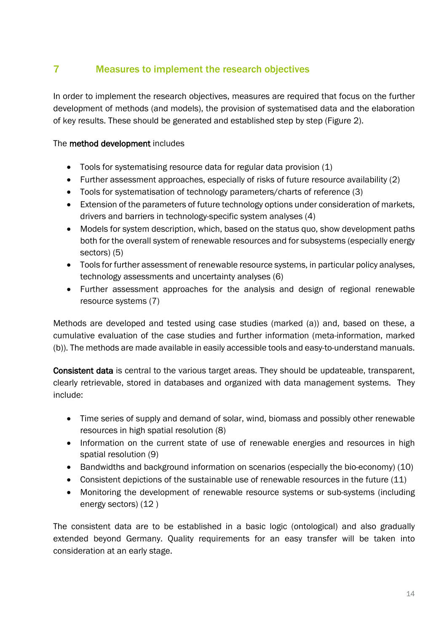# 7 Measures to implement the research objectives

In order to implement the research objectives, measures are required that focus on the further development of methods (and models), the provision of systematised data and the elaboration of key results. These should be generated and established step by step (Figure 2).

#### The method development includes

- Tools for systematising resource data for regular data provision (1)
- Further assessment approaches, especially of risks of future resource availability (2)
- Tools for systematisation of technology parameters/charts of reference (3)
- Extension of the parameters of future technology options under consideration of markets, drivers and barriers in technology-specific system analyses (4)
- Models for system description, which, based on the status quo, show development paths both for the overall system of renewable resources and for subsystems (especially energy sectors) (5)
- Tools for further assessment of renewable resource systems, in particular policy analyses, technology assessments and uncertainty analyses (6)
- Further assessment approaches for the analysis and design of regional renewable resource systems (7)

Methods are developed and tested using case studies (marked (a)) and, based on these, a cumulative evaluation of the case studies and further information (meta-information, marked (b)). The methods are made available in easily accessible tools and easy-to-understand manuals.

Consistent data is central to the various target areas. They should be updateable, transparent, clearly retrievable, stored in databases and organized with data management systems. They include:

- Time series of supply and demand of solar, wind, biomass and possibly other renewable resources in high spatial resolution (8)
- Information on the current state of use of renewable energies and resources in high spatial resolution (9)
- Bandwidths and background information on scenarios (especially the bio-economy) (10)
- Consistent depictions of the sustainable use of renewable resources in the future (11)
- Monitoring the development of renewable resource systems or sub-systems (including energy sectors) (12 )

The consistent data are to be established in a basic logic (ontological) and also gradually extended beyond Germany. Quality requirements for an easy transfer will be taken into consideration at an early stage.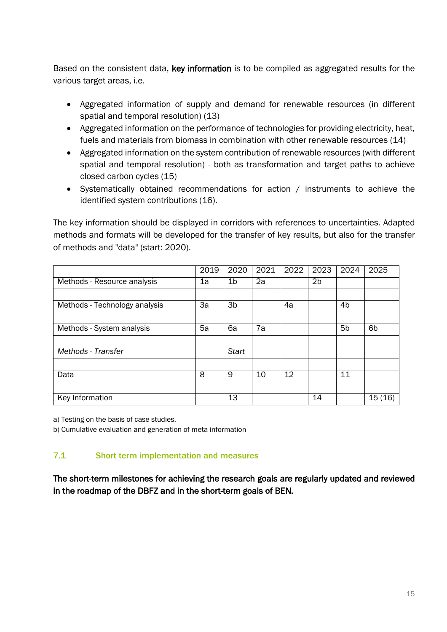Based on the consistent data, key information is to be compiled as aggregated results for the various target areas, i.e.

- Aggregated information of supply and demand for renewable resources (in different spatial and temporal resolution) (13)
- Aggregated information on the performance of technologies for providing electricity, heat, fuels and materials from biomass in combination with other renewable resources (14)
- Aggregated information on the system contribution of renewable resources (with different spatial and temporal resolution) - both as transformation and target paths to achieve closed carbon cycles (15)
- Systematically obtained recommendations for action / instruments to achieve the identified system contributions (16).

The key information should be displayed in corridors with references to uncertainties. Adapted methods and formats will be developed for the transfer of key results, but also for the transfer of methods and "data" (start: 2020).

|                               | 2019 | 2020           | 2021 | 2022 | 2023           | 2024           | 2025           |
|-------------------------------|------|----------------|------|------|----------------|----------------|----------------|
| Methods - Resource analysis   | 1a   | 1b             | 2a   |      | 2 <sub>b</sub> |                |                |
|                               |      |                |      |      |                |                |                |
| Methods - Technology analysis | 3a   | 3 <sub>b</sub> |      | 4a   |                | 4 <sub>b</sub> |                |
|                               |      |                |      |      |                |                |                |
| Methods - System analysis     | 5a   | 6a             | 7a   |      |                | 5 <sub>b</sub> | 6 <sub>b</sub> |
|                               |      |                |      |      |                |                |                |
| Methods - Transfer            |      | <b>Start</b>   |      |      |                |                |                |
|                               |      |                |      |      |                |                |                |
| Data                          | 8    | 9              | 10   | 12   |                | 11             |                |
|                               |      |                |      |      |                |                |                |
| Key Information               |      | 13             |      |      | 14             |                | 15(16)         |

a) Testing on the basis of case studies,

b) Cumulative evaluation and generation of meta information

#### 7.1 Short term implementation and measures

The short-term milestones for achieving the research goals are regularly updated and reviewed in the roadmap of the DBFZ and in the short-term goals of BEN.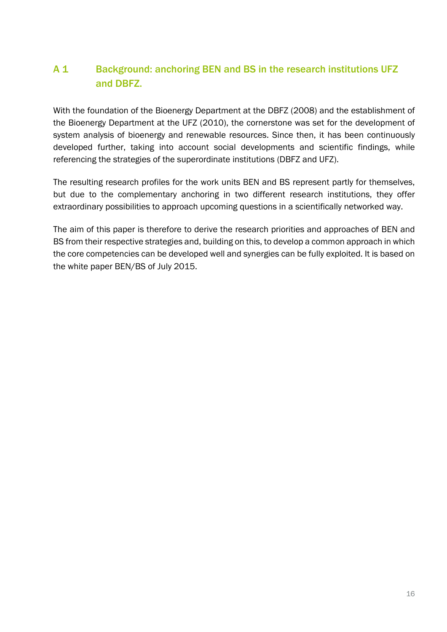# A 1 Background: anchoring BEN and BS in the research institutions UFZ and DBFZ.

With the foundation of the Bioenergy Department at the DBFZ (2008) and the establishment of the Bioenergy Department at the UFZ (2010), the cornerstone was set for the development of system analysis of bioenergy and renewable resources. Since then, it has been continuously developed further, taking into account social developments and scientific findings, while referencing the strategies of the superordinate institutions (DBFZ and UFZ).

The resulting research profiles for the work units BEN and BS represent partly for themselves, but due to the complementary anchoring in two different research institutions, they offer extraordinary possibilities to approach upcoming questions in a scientifically networked way.

The aim of this paper is therefore to derive the research priorities and approaches of BEN and BS from their respective strategies and, building on this, to develop a common approach in which the core competencies can be developed well and synergies can be fully exploited. It is based on the white paper BEN/BS of July 2015.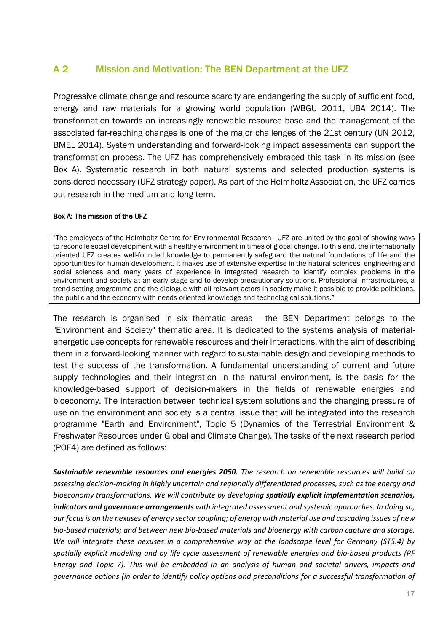#### A 2 Mission and Motivation: The BEN Department at the UFZ

Progressive climate change and resource scarcity are endangering the supply of sufficient food, energy and raw materials for a growing world population (WBGU 2011, UBA 2014). The transformation towards an increasingly renewable resource base and the management of the associated far-reaching changes is one of the major challenges of the 21st century (UN 2012, BMEL 2014). System understanding and forward-looking impact assessments can support the transformation process. The UFZ has comprehensively embraced this task in its mission (see Box A). Systematic research in both natural systems and selected production systems is considered necessary (UFZ strategy paper). As part of the Helmholtz Association, the UFZ carries out research in the medium and long term.

#### Box A: The mission of the UFZ

"The employees of the Helmholtz Centre for Environmental Research - UFZ are united by the goal of showing ways to reconcile social development with a healthy environment in times of global change. To this end, the internationally oriented UFZ creates well-founded knowledge to permanently safeguard the natural foundations of life and the opportunities for human development. It makes use of extensive expertise in the natural sciences, engineering and social sciences and many years of experience in integrated research to identify complex problems in the environment and society at an early stage and to develop precautionary solutions. Professional infrastructures, a trend-setting programme and the dialogue with all relevant actors in society make it possible to provide politicians, the public and the economy with needs-oriented knowledge and technological solutions."

The research is organised in six thematic areas - the BEN Department belongs to the "Environment and Society" thematic area. It is dedicated to the systems analysis of materialenergetic use concepts for renewable resources and their interactions, with the aim of describing them in a forward-looking manner with regard to sustainable design and developing methods to test the success of the transformation. A fundamental understanding of current and future supply technologies and their integration in the natural environment, is the basis for the knowledge-based support of decision-makers in the fields of renewable energies and bioeconomy. The interaction between technical system solutions and the changing pressure of use on the environment and society is a central issue that will be integrated into the research programme "Earth and Environment", Topic 5 (Dynamics of the Terrestrial Environment & Freshwater Resources under Global and Climate Change). The tasks of the next research period (POF4) are defined as follows:

*Sustainable renewable resources and energies 2050. The research on renewable resources will build on assessing decision-making in highly uncertain and regionally differentiated processes, such as the energy and bioeconomy transformations. We will contribute by developing spatially explicit implementation scenarios, indicators and governance arrangements with integrated assessment and systemic approaches. In doing so, our focus is on the nexuses of energy sector coupling; of energy with material use and cascading issues of new bio-based materials; and between new bio-based materials and bioenergy with carbon capture and storage. We will integrate these nexuses in a comprehensive way at the landscape level for Germany (ST5.4) by spatially explicit modeling and by life cycle assessment of renewable energies and bio-based products (RF Energy and Topic 7). This will be embedded in an analysis of human and societal drivers, impacts and governance options (in order to identify policy options and preconditions for a successful transformation of*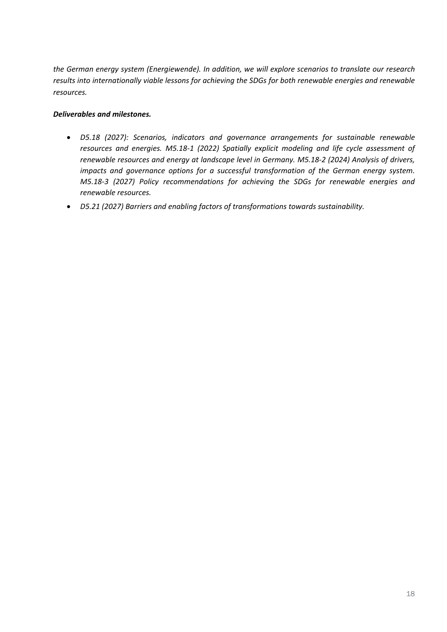*the German energy system (Energiewende). In addition, we will explore scenarios to translate our research results into internationally viable lessons for achieving the SDGs for both renewable energies and renewable resources.*

#### *Deliverables and milestones.*

- *D5.18 (2027): Scenarios, indicators and governance arrangements for sustainable renewable resources and energies. M5.18-1 (2022) Spatially explicit modeling and life cycle assessment of renewable resources and energy at landscape level in Germany. M5.18-2 (2024) Analysis of drivers, impacts and governance options for a successful transformation of the German energy system. M5.18-3 (2027) Policy recommendations for achieving the SDGs for renewable energies and renewable resources.*
- *D5.21 (2027) Barriers and enabling factors of transformations towards sustainability.*